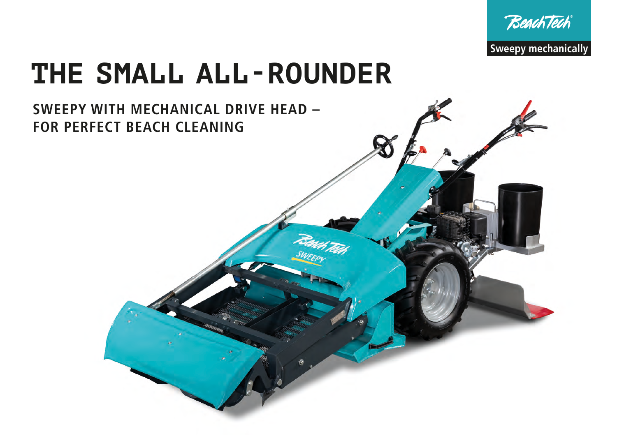



## **THE SMALL ALL-ROUNDER**

### **SWEEPY WITH MECHANICAL DRIVE HEAD – FOR PERFECT BEACH CLEANING**